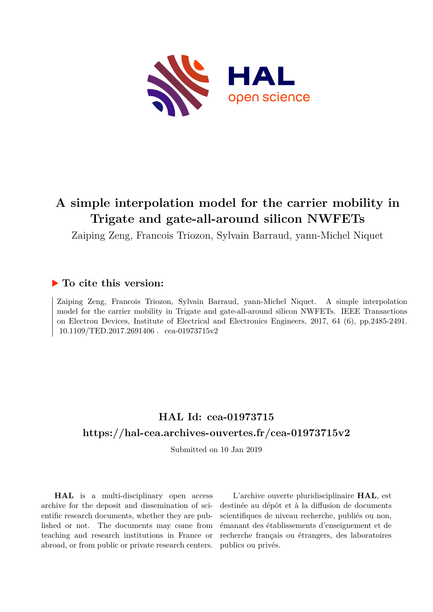

## **A simple interpolation model for the carrier mobility in Trigate and gate-all-around silicon NWFETs**

Zaiping Zeng, Francois Triozon, Sylvain Barraud, yann-Michel Niquet

### **To cite this version:**

Zaiping Zeng, Francois Triozon, Sylvain Barraud, yann-Michel Niquet. A simple interpolation model for the carrier mobility in Trigate and gate-all-around silicon NWFETs. IEEE Transactions on Electron Devices, Institute of Electrical and Electronics Engineers, 2017, 64 (6), pp.2485-2491.  $10.1109/TED.2017.2691406$ . cea-01973715v2

## **HAL Id: cea-01973715 <https://hal-cea.archives-ouvertes.fr/cea-01973715v2>**

Submitted on 10 Jan 2019

**HAL** is a multi-disciplinary open access archive for the deposit and dissemination of scientific research documents, whether they are published or not. The documents may come from teaching and research institutions in France or abroad, or from public or private research centers.

L'archive ouverte pluridisciplinaire **HAL**, est destinée au dépôt et à la diffusion de documents scientifiques de niveau recherche, publiés ou non, émanant des établissements d'enseignement et de recherche français ou étrangers, des laboratoires publics ou privés.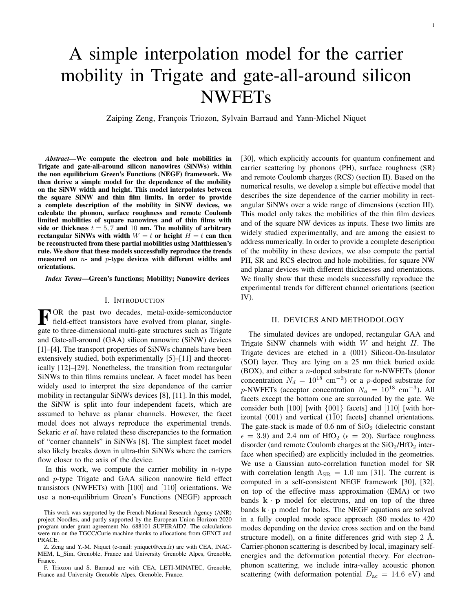# A simple interpolation model for the carrier mobility in Trigate and gate-all-around silicon NWFETs

Zaiping Zeng, François Triozon, Sylvain Barraud and Yann-Michel Niquet

*Abstract*—We compute the electron and hole mobilities in Trigate and gate-all-around silicon nanowires (SiNWs) within the non equilibrium Green's Functions (NEGF) framework. We then derive a simple model for the dependence of the mobility on the SiNW width and height. This model interpolates between the square SiNW and thin film limits. In order to provide a complete description of the mobility in SiNW devices, we calculate the phonon, surface roughness and remote Coulomb limited mobilities of square nanowires and of thin films with side or thickness  $t = 5, 7$  and 10 nm. The mobility of arbitrary rectangular SiNWs with width  $W = t$  or height  $H = t$  can then be reconstructed from these partial mobilities using Matthiessen's rule. We show that these models successfully reproduce the trends measured on  $n-$  and  $p-$ type devices with different widths and orientations.

*Index Terms*—Green's functions; Mobility; Nanowire devices

#### I. INTRODUCTION

FOR the past two decades, metal-oxide-semiconductor<br>field-effect transistors have evolved from planar, single-<br>sets to three dimensional multi acts ethnology and as Triants field-effect transistors have evolved from planar, singlegate to three-dimensional multi-gate structures such as Trigate and Gate-all-around (GAA) silicon nanowire (SiNW) devices [1]–[4]. The transport properties of SiNWs channels have been extensively studied, both experimentally [5]–[11] and theoretically [12]–[29]. Nonetheless, the transition from rectangular SiNWs to thin films remains unclear. A facet model has been widely used to interpret the size dependence of the carrier mobility in rectangular SiNWs devices [8], [11]. In this model, the SiNW is split into four independent facets, which are assumed to behave as planar channels. However, the facet model does not always reproduce the experimental trends. Sekaric *et al.* have related these discrepancies to the formation of "corner channels" in SiNWs [8]. The simplest facet model also likely breaks down in ultra-thin SiNWs where the carriers flow closer to the axis of the device.

In this work, we compute the carrier mobility in  $n$ -type and p-type Trigate and GAA silicon nanowire field effect transistors (NWFETs) with [100] and [110] orientations. We use a non-equilibrium Green's Functions (NEGF) approach

F. Triozon and S. Barraud are with CEA, LETI-MINATEC, Grenoble, France and University Grenoble Alpes, Grenoble, France.

[30], which explicitly accounts for quantum confinement and carrier scattering by phonons (PH), surface roughness (SR) and remote Coulomb charges (RCS) (section II). Based on the numerical results, we develop a simple but effective model that describes the size dependence of the carrier mobility in rectangular SiNWs over a wide range of dimensions (section III). This model only takes the mobilities of the thin film devices and of the square NW devices as inputs. These two limits are widely studied experimentally, and are among the easiest to address numerically. In order to provide a complete description of the mobility in these devices, we also compute the partial PH, SR and RCS electron and hole mobilities, for square NW and planar devices with different thicknesses and orientations. We finally show that these models successfully reproduce the experimental trends for different channel orientations (section IV).

#### II. DEVICES AND METHODOLOGY

The simulated devices are undoped, rectangular GAA and Trigate SiNW channels with width  $W$  and height  $H$ . The Trigate devices are etched in a (001) Silicon-On-Insulator (SOI) layer. They are lying on a 25 nm thick buried oxide (BOX), and either a *n*-doped substrate for  $n$ -NWFETs (donor concentration  $N_d = 10^{18}$  cm<sup>-3</sup>) or a p-doped substrate for p-NWFETs (acceptor concentration  $N_a = 10^{18}$  cm<sup>-3</sup>). All facets except the bottom one are surrounded by the gate. We consider both [100] [with {001} facets] and [110] [with horizontal  $(001)$  and vertical  $(1\overline{1}0)$  facets] channel orientations. The gate-stack is made of  $0.6$  nm of  $SiO<sub>2</sub>$  (dielectric constant  $\epsilon = 3.9$ ) and 2.4 nm of HfO<sub>2</sub> ( $\epsilon = 20$ ). Surface roughness disorder (and remote Coulomb charges at the  $SiO<sub>2</sub>/HfO<sub>2</sub>$  interface when specified) are explicitly included in the geometries. We use a Gaussian auto-correlation function model for SR with correlation length  $\Lambda_{\text{SR}} = 1.0 \text{ nm}$  [31]. The current is computed in a self-consistent NEGF framework [30], [32], on top of the effective mass approximation (EMA) or two bands  $\mathbf{k} \cdot \mathbf{p}$  model for electrons, and on top of the three bands  $\mathbf{k} \cdot \mathbf{p}$  model for holes. The NEGF equations are solved in a fully coupled mode space approach (80 modes to 420 modes depending on the device cross section and on the band structure model), on a finite differences grid with step  $2 \text{ A}$ . Carrier-phonon scattering is described by local, imaginary selfenergies and the deformation potential theory. For electronphonon scattering, we include intra-valley acoustic phonon scattering (with deformation potential  $D_{ac} = 14.6$  eV) and

This work was supported by the French National Research Agency (ANR) project Noodles, and partly supported by the European Union Horizon 2020 program under grant agreement No. 688101 SUPERAID7. The calculations were run on the TGCC/Curie machine thanks to allocations from GENCI and PRACE.

Z. Zeng and Y.-M. Niquet (e-mail: yniquet@cea.fr) are with CEA, INAC-MEM, L Sim, Grenoble, France and University Grenoble Alpes, Grenoble, France.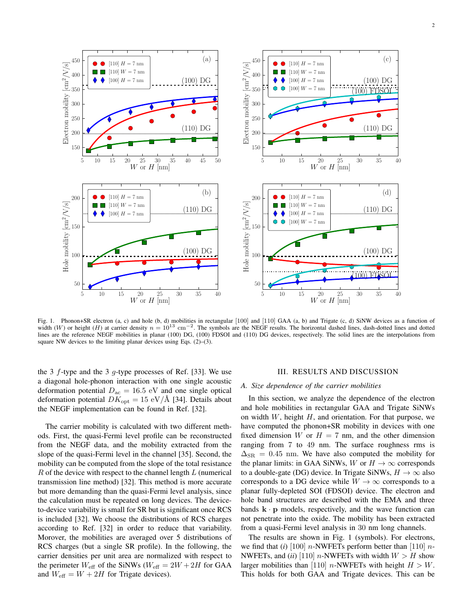

Fig. 1. Phonon+SR electron (a, c) and hole (b, d) mobilities in rectangular [100] and [110] GAA (a, b) and Trigate (c, d) SiNW devices as a function of width (W) or height (H) at carrier density  $n = 10^{13}$  cm<sup>-2</sup>. The symbols are the NEGF results. The horizontal dashed lines, dash-dotted lines and dotted lines are the reference NEGF mobilities in planar (100) DG, (100) FDSOI and (110) DG devices, respectively. The solid lines are the interpolations from square NW devices to the limiting planar devices using Eqs. (2)–(3).

the 3  $f$ -type and the 3  $g$ -type processes of Ref. [33]. We use a diagonal hole-phonon interaction with one single acoustic deformation potential  $D_{ac} = 16.5$  eV and one single optical deformation potential  $DK_{opt} = 15 \text{ eV/A}$  [34]. Details about the NEGF implementation can be found in Ref. [32].

The carrier mobility is calculated with two different methods. First, the quasi-Fermi level profile can be reconstructed from the NEGF data, and the mobility extracted from the slope of the quasi-Fermi level in the channel [35]. Second, the mobility can be computed from the slope of the total resistance  $R$  of the device with respect to the channel length  $L$  (numerical transmission line method) [32]. This method is more accurate but more demanding than the quasi-Fermi level analysis, since the calculation must be repeated on long devices. The deviceto-device variability is small for SR but is significant once RCS is included [32]. We choose the distributions of RCS charges according to Ref. [32] in order to reduce that variability. Morover, the mobilities are averaged over 5 distributions of RCS charges (but a single SR profile). In the following, the carrier densities per unit area are normalized with respect to the perimeter  $W_{\text{eff}}$  of the SiNWs ( $W_{\text{eff}} = 2W + 2H$  for GAA and  $W_{\text{eff}} = W + 2H$  for Trigate devices).

#### III. RESULTS AND DISCUSSION

#### *A. Size dependence of the carrier mobilities*

In this section, we analyze the dependence of the electron and hole mobilities in rectangular GAA and Trigate SiNWs on width  $W$ , height  $H$ , and orientation. For that purpose, we have computed the phonon+SR mobility in devices with one fixed dimension W or  $H = 7$  nm, and the other dimension ranging from 7 to 49 nm. The surface roughness rms is  $\Delta_{\rm SR}$  = 0.45 nm. We have also computed the mobility for the planar limits: in GAA SiNWs, W or  $H \to \infty$  corresponds to a double-gate (DG) device. In Trigate SiNWs,  $H \to \infty$  also corresponds to a DG device while  $W \to \infty$  corresponds to a planar fully-depleted SOI (FDSOI) device. The electron and hole band structures are described with the EMA and three bands  $\mathbf{k} \cdot \mathbf{p}$  models, respectively, and the wave function can not penetrate into the oxide. The mobility has been extracted from a quasi-Fermi level analysis in 30 nm long channels.

The results are shown in Fig. 1 (symbols). For electrons, we find that  $(i)$  [100] n-NWFETs perform better than [110] n-NWFETs, and *(ii)* [110] *n*-NWFETs with width  $W > H$  show larger mobilities than [110] *n*-NWFETs with height  $H > W$ . This holds for both GAA and Trigate devices. This can be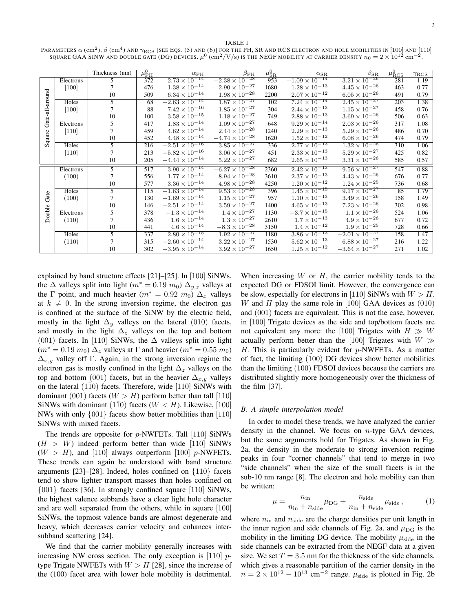TABLE I

Parameters  $\alpha$  (cm<sup>2</sup>),  $\beta$  (cm<sup>4</sup>) and  $\gamma_{\rm RCS}$  [see Eqs. (5) and (6)] for the PH, SR and RCS electron and hole mobilities in [100] and [110] SQUARE GAA SINW AND DOUBLE GATE (DG) DEVICES.  $\mu^0$  (cm<sup>2</sup>/V/s) is the NEGF mobility at carrier density  $n_0=2\times10^{12}$  cm<sup>-2</sup> .

|                           |           | Thickness (nm)           | $\mu_{\rm PH}^{0}$ | $\alpha$ PH             | $\beta_{\rm PH}$                   | $\mu^0_{\rm SR}$ | $\alpha_{\rm SR}$                 | $\beta_{\rm SR}$        | $\mu_{\rm RCS}^0$ | $\gamma_{\rm{RCS}}$ |
|---------------------------|-----------|--------------------------|--------------------|-------------------------|------------------------------------|------------------|-----------------------------------|-------------------------|-------------------|---------------------|
| Gate-all-around<br>Square | Electrons | $\overline{\phantom{1}}$ | 372                | $2.73 \times 10^{-14}$  | $-2.38 \times 10^{-28}$            | 953              | $-1.09 \times 10^{-14}$           | $3.21 \times 10^{-26}$  | 281               | 1.19                |
|                           | [100]     |                          | 476                | $1.38 \times 10^{-14}$  | $2.90 \times 10^{-27}$             | 1680             | $1.28\times10^{-13}$              | $4.45\times10^{-26}$    | 463               | 0.77                |
|                           |           | 10                       | 509                | $6.34 \times 10^{-14}$  | $1.98\times 10^{-28}$              | 2200             | $2.07\times10^{-12}$              | $6.05 \times 10^{-26}$  | 491               | 0.79                |
|                           | Holes     | 5                        | 68                 | $-2.63 \times 10^{-14}$ | $1.87 \times 10^{-27}$             | 102              | $7.\overline{24 \times 10^{-14}}$ | $2.45 \times 10^{-27}$  | 203               | 1.38                |
|                           | [100]     |                          | 88                 | $7.42\times10^{-16}$    | $1.85 \times 10^{-27}$             | 304              | $2.44\times10^{-13}$              | $1.15\times10^{-27}$    | 458               | 0.76                |
|                           |           | 10                       | 100                | $3.58 \times 10^{-15}$  | $1.18\times10^{-27}$               | 749              | $2.88\times10^{-13}$              | $3.69\times10^{-26}$    | 506               | 0.63                |
|                           | Electrons | $\overline{5}$           | 417                | $1.83 \times 10^{-14}$  | $1.09 \times 10^{-27}$             | 648              | $9.29 \times 10^{-14}$            | $2.03 \times 10^{-26}$  | 317               | 1.08                |
|                           | $[110]$   |                          | 459                | $4.62\times10^{-14}$    | $2.44\times10^{-28}$               | 1240             | $2.29\times10^{-13}$              | $5.29 \times 10^{-26}$  | 486               | 0.70                |
|                           |           | 10                       | 452                | $4.48 \times 10^{-14}$  | $-4.74\times10^{-28}$              | 1620             | $1.52\times10^{-12}$              | $6.08\times10^{-26}$    | 474               | 0.79                |
|                           | Holes     | 5                        | 216                | $-2.51 \times 10^{-16}$ | $3.85 \times 10^{-27}$             | 336              | $2.77 \times 10^{-13}$            | $1.32 \times 10^{-26}$  | 310               | 1.06                |
|                           | [110]     |                          | 213                | $-5.82 \times 10^{-16}$ | $3.06\times10^{-27}$               | 451              | $2.33\times10^{-13}$              | $5.29 \times 10^{-27}$  | 425               | 0.82                |
|                           |           | 10                       | 205                | $-4.44 \times 10^{-14}$ | $5.22 \times 10^{-27}$             | 682              | $2.65\times10^{-13}$              | $3.31 \times 10^{-26}$  | 585               | 0.57                |
|                           | Electrons | 5                        | 517                | $3.90 \times 10^{-14}$  | $-\overline{6.27 \times 10^{-28}}$ | 2360             | $2.42 \times 10^{-13}$            | $9.56 \times 10^{-27}$  | 547               | 0.88                |
|                           | (100)     |                          | 556                | $1.77\times10^{-14}$    | $8.94 \times 10^{-28}$             | 3610             | $2.37 \times 10^{-13}$            | $4.43 \times 10^{-26}$  | 676               | 0.77                |
| Gate<br>Double            |           | 10                       | 577                | $3.36 \times 10^{-14}$  | $4.98 \times 10^{-28}$             | 4250             | $1.20\times10^{-12}$              | $1.24\times10^{-25}$    | 736               | 0.68                |
|                           | Holes     | 5                        | 115                | $-1.63 \times 10^{-14}$ | $9.53 \times 10^{-28}$             | 396              | $1.45 \times 10^{-15}$            | $9.17 \times 10^{-27}$  | 85                | 1.79                |
|                           | (100)     |                          | 130                | $-1.69\times10^{-14}$   | $1.15\times10^{-27}$               | 957              | $1.10\times10^{-13}$              | $3.49 \times 10^{-26}$  | 158               | 1.49                |
|                           |           | 10                       | 146                | $-2.51\times10^{-14}$   | $3.59\times10^{-27}$               | 1400             | $4.65\times10^{-13}$              | $7.23\times10^{-26}$    | 302               | 0.98                |
|                           | Electrons | $\overline{5}$           | 378                | $-1.3 \times 10^{-14}$  | $1.4 \times 10^{-27}$              | 1130             | $-3.7\times10^{-15}$              | $1.1 \times 10^{-26}$   | 524               | 1.06                |
|                           | (110)     |                          | 436                | $1.6\times10^{-14}$     | $1.3\times10^{-27}$                | 2610             | $1.7\times10^{-13}$               | $4.9\times10^{-26}$     | 677               | 0.72                |
|                           |           | 10                       | 441                | $4.6\times10^{-14}$     | $-8.3\times10^{-28}$               | 3150             | $1.4\times10^{-12}$               | $1.9\times10^{-25}$     | 728               | 0.66                |
|                           | Holes     | 5                        | 337                | $2.80 \times 10^{-15}$  | $1.\overline{92 \times 10^{-27}}$  | 1180             | $3.86 \times 10^{-13}$            | $-2.01 \times 10^{-27}$ | 158               | 1.47                |
|                           | (110)     | 7                        | 315                | $-2.60 \times 10^{-14}$ | $3.22 \times 10^{-27}$             | 1530             | $5.62\times10^{-13}$              | $6.88 \times 10^{-27}$  | 216               | 1.22                |
|                           |           | 10                       | 302                | $-3.95 \times 10^{-14}$ | $3.92 \times 10^{-27}$             | 1650             | $1.25 \times 10^{-12}$            | $-3.64\times10^{-27}$   | 271               | 1.02                |

explained by band structure effects [21]–[25]. In [100] SiNWs, the  $\Delta$  valleys split into light ( $m^* = 0.19$   $m_0$ )  $\Delta_{y,z}$  valleys at the  $\Gamma$  point, and much heavier ( $m^* = 0.92$   $m_0$ )  $\Delta_x$  valleys at  $k \neq 0$ . In the strong inversion regime, the electron gas is confined at the surface of the SiNW by the electric field, mostly in the light  $\Delta_y$  valleys on the lateral (010) facets, and mostly in the light  $\Delta_z$  valleys on the top and bottom (001) facets. In [110] SiNWs, the  $\Delta$  valleys split into light  $(m^* = 0.19 \, m_0) \, \Delta_z$  valleys at  $\Gamma$  and heavier  $(m^* = 0.55 \, m_0)$  $\Delta_{x,y}$  valley off Γ. Again, in the strong inversion regime the electron gas is mostly confined in the light  $\Delta_z$  valleys on the top and bottom (001) facets, but in the heavier  $\Delta_{x,y}$  valleys on the lateral  $(1\bar{1}0)$  facets. Therefore, wide [110] SiNWs with dominant (001) facets ( $W > H$ ) perform better than tall [110] SiNWs with dominant  $(1\bar{1}0)$  facets  $(W < H)$ . Likewise, [100] NWs with only {001} facets show better mobilities than [110] SiNWs with mixed facets.

The trends are opposite for  $p$ -NWFETs. Tall [110] SiNWs  $(H > W)$  indeed perform better than wide [110] SiNWs  $(W > H)$ , and [110] always outperform [100] p-NWFETs. These trends can again be understood with band structure arguments [23]–[28]. Indeed, holes confined on {110} facets tend to show lighter transport masses than holes confined on {001} facets [36]. In strongly confined square [110] SiNWs, the highest valence subbands have a clear light hole character and are well separated from the others, while in square [100] SiNWs, the topmost valence bands are almost degenerate and heavy, which decreases carrier velocity and enhances intersubband scattering [24].

We find that the carrier mobility generally increases with increasing NW cross section. The only exception is  $[110]$  ptype Trigate NWFETs with  $W > H$  [28], since the increase of the (100) facet area with lower hole mobility is detrimental.

When increasing  $W$  or  $H$ , the carrier mobility tends to the expected DG or FDSOI limit. However, the convergence can be slow, especially for electrons in [110] SiNWs with  $W > H$ . W and H play the same role in [100] GAA devices as  $(010)$ and (001) facets are equivalent. This is not the case, however, in [100] Trigate devices as the side and top/bottom facets are not equivalent any more: the [100] Trigates with  $H \gg W$ actually perform better than the [100] Trigates with  $W \gg$  $H$ . This is particularly evident for  $p$ -NWFETs. As a matter of fact, the limiting (100) DG devices show better mobilities than the limiting (100) FDSOI devices because the carriers are distributed slightly more homogeneously over the thickness of the film [37].

#### *B. A simple interpolation model*

In order to model these trends, we have analyzed the carrier density in the channel. We focus on  $n$ -type GAA devices, but the same arguments hold for Trigates. As shown in Fig. 2a, the density in the moderate to strong inversion regime peaks in four "corner channels" that tend to merge in two "side channels" when the size of the small facets is in the sub-10 nm range [8]. The electron and hole mobility can then be written:

$$
\mu = \frac{n_{\rm in}}{n_{\rm in} + n_{\rm side}} \mu_{\rm DG} + \frac{n_{\rm side}}{n_{\rm in} + n_{\rm side}} \mu_{\rm side},\tag{1}
$$

where  $n_{\text{in}}$  and  $n_{\text{side}}$  are the charge densities per unit length in the inner region and side channels of Fig. 2a, and  $\mu_{\text{DG}}$  is the mobility in the limiting DG device. The mobility  $\mu_{\text{side}}$  in the side channels can be extracted from the NEGF data at a given size. We set  $T = 3.5$  nm for the thickness of the side channels, which gives a reasonable partition of the carrier density in the  $n = 2 \times 10^{12} - 10^{13}$  cm<sup>-2</sup> range.  $\mu_{\text{side}}$  is plotted in Fig. 2b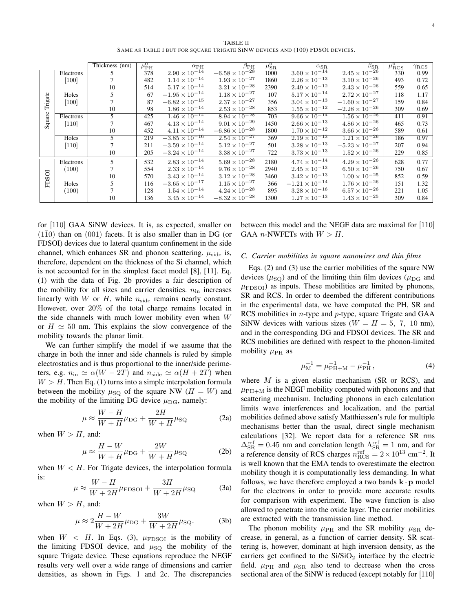|                   |           | Thickness (nm) | $\mu_{\rm PH}^{0}$ | $\alpha_{\rm PH}$       | $\beta_{\rm PH}$                   | $\mu_{\rm SR}^0$ | $\alpha_{\rm SR}$       | $\beta_{\rm SR}$        | $\mu_{\rm RCS}^0$ | $\gamma_{\rm{RCS}}$ |
|-------------------|-----------|----------------|--------------------|-------------------------|------------------------------------|------------------|-------------------------|-------------------------|-------------------|---------------------|
| Trigate<br>Square | Electrons | 5.             | 378                | $2.90 \times 10^{-14}$  | $-\overline{6.58 \times 10^{-28}}$ | 1000             | $3.60 \times 10^{-14}$  | $2.45 \times 10^{-26}$  | 330               | 0.99                |
|                   | [100]     |                | 482                | $1.14\times10^{-14}$    | $1.93 \times 10^{-27}$             | 1860             | $2.26 \times 10^{-13}$  | $3.10 \times 10^{-26}$  | 493               | 0.72                |
|                   |           | 10             | 514                | $5.17\times10^{-14}$    | $3.21 \times 10^{-28}$             | 2390             | $2.49 \times 10^{-12}$  | $2.43 \times 10^{-26}$  | 559               | 0.65                |
|                   | Holes     | 5.             | 67                 | $-1.95 \times 10^{-14}$ | $1.18 \times 10^{-27}$             | 107              | $5.17 \times 10^{-14}$  | $2.72 \times 10^{-27}$  | 118               | 1.17                |
|                   | $[100]$   |                | 87                 | $-6.82\times10^{-15}$   | $2.37 \times 10^{-27}$             | 356              | $3.04\times10^{-13}$    | $-1.60\times10^{-27}$   | 159               | 0.84                |
|                   |           | 10             | 98                 | $1.86 \times 10^{-14}$  | $2.53 \times 10^{-28}$             | 853              | $1.55 \times 10^{-12}$  | $-2.28 \times 10^{-26}$ | 309               | 0.69                |
|                   | Electrons | 5              | 425                | $1.46 \times 10^{-14}$  | $8.94 \times 10^{-28}$             | 703              | $9.66 \times 10^{-14}$  | $1.56 \times 10^{-26}$  | 411               | 0.91                |
|                   | $[110]$   |                | 467                | $4.13 \times 10^{-14}$  | $9.01 \times 10^{-29}$             | 1450             | $2.66 \times 10^{-13}$  | $4.86 \times 10^{-26}$  | 465               | 0.73                |
|                   |           | 10             | 452                | $4.11 \times 10^{-14}$  | $-6.86 \times 10^{-28}$            | 1800             | $1.70 \times 10^{-12}$  | $3.66 \times 10^{-26}$  | 589               | 0.61                |
|                   | Holes     | 5.             | 219                | $-3.85 \times 10^{-16}$ | $2.54 \times 10^{-27}$             | 369              | $2.19 \times 10^{-13}$  | $1.21 \times 10^{-26}$  | 186               | 0.97                |
|                   | $[110]$   |                | 211                | $-3.59 \times 10^{-14}$ | $5.12\times10^{-27}$               | 501              | $3.28\times10^{-13}$    | $-5.23 \times 10^{-27}$ | 207               | 0.94                |
|                   |           | 10             | 205                | $-3.24 \times 10^{-14}$ | $3.38 \times 10^{-27}$             | 722              | $3.73 \times 10^{-13}$  | $1.52 \times 10^{-26}$  | 229               | 0.85                |
| <b>FDSOI</b>      | Electrons | 5              | 532                | $2.83 \times 10^{-14}$  | $5.69 \times 10^{-28}$             | 2180             | $4.74 \times 10^{-14}$  | $4.29 \times 10^{-26}$  | 628               | 0.77                |
|                   | (100)     |                | 554                | $2.33\times10^{-14}$    | $9.76 \times 10^{-28}$             | 2940             | $2.45\times10^{-13}$    | $6.50 \times 10^{-26}$  | 750               | 0.67                |
|                   |           | 10             | 570                | $3.43 \times 10^{-14}$  | $3.12 \times 10^{-28}$             | 3460             | $3.42 \times 10^{-13}$  | $1.00 \times 10^{-25}$  | 852               | 0.59                |
|                   | Holes     | 5.             | 116                | $-3.65 \times 10^{-17}$ | $1.15 \times 10^{-27}$             | 366              | $-1.21 \times 10^{-14}$ | $1.76 \times 10^{-26}$  | 151               | 1.32                |
|                   | (100)     |                | 128                | $1.54 \times 10^{-14}$  | $4.24\times10^{-28}$               | 895              | $3.28 \times 10^{-16}$  | $6.57 \times 10^{-26}$  | 221               | 1.05                |
|                   |           | 10             | 136                | $3.45 \times 10^{-14}$  | $-8.32\times10^{-28}$              | 1300             | $1.27 \times 10^{-13}$  | $1.43 \times 10^{-25}$  | 309               | 0.84                |

for [110] GAA SiNW devices. It is, as expected, smaller on  $(1\overline{1}0)$  than on  $(0\overline{0}1)$  facets. It is also smaller than in DG (or FDSOI) devices due to lateral quantum confinement in the side channel, which enhances SR and phonon scattering.  $\mu_{\rm side}$  is, therefore, dependent on the thickness of the Si channel, which is not accounted for in the simplest facet model [8], [11]. Eq. (1) with the data of Fig. 2b provides a fair description of the mobility for all sizes and carrier densities.  $n_{\text{in}}$  increases linearly with W or H, while  $n_{side}$  remains nearly constant. However, over 20% of the total charge remains located in the side channels with much lower mobility even when  $W$ or  $H \approx 50$  nm. This explains the slow convergence of the mobility towards the planar limit.

We can further simplify the model if we assume that the charge in both the inner and side channels is ruled by simple electrostatics and is thus proportional to the inner/side perimeters, e.g.  $n_{\text{in}} \simeq \alpha(W - 2T)$  and  $n_{\text{side}} \simeq \alpha(H + 2T)$  when  $W > H$ . Then Eq. (1) turns into a simple interpolation formula between the mobility  $\mu_{\text{SQ}}$  of the square NW ( $H = W$ ) and the mobility of the limiting DG device  $\mu_{\text{DG}}$ , namely:

$$
\mu \approx \frac{W - H}{W + H} \mu_{\text{DG}} + \frac{2H}{W + H} \mu_{\text{SQ}} \tag{2a}
$$

when  $W > H$ , and:

$$
\mu \approx \frac{H - W}{W + H} \mu_{\text{DG}} + \frac{2W}{W + H} \mu_{\text{SQ}} \tag{2b}
$$

when  $W < H$ . For Trigate devices, the interpolation formula is:

$$
\mu \approx \frac{W - H}{W + 2H} \mu_{\text{FDSOI}} + \frac{3H}{W + 2H} \mu_{\text{SQ}} \tag{3a}
$$

when  $W > H$ , and:

$$
\mu \approx 2\frac{H - W}{W + 2H} \mu_{\text{DG}} + \frac{3W}{W + 2H} \mu_{\text{SQ}}.\tag{3b}
$$

when  $W < H$ . In Eqs. (3),  $\mu_{\text{FDSOI}}$  is the mobility of the limiting FDSOI device, and  $\mu_{SQ}$  the mobility of the square Trigate device. These equations reproduce the NEGF results very well over a wide range of dimensions and carrier densities, as shown in Figs. 1 and 2c. The discrepancies between this model and the NEGF data are maximal for [110] GAA *n*-NWFETs with  $W > H$ .

#### *C. Carrier mobilities in square nanowires and thin films*

Eqs. (2) and (3) use the carrier mobilities of the square NW devices ( $\mu_{\text{SO}}$ ) and of the limiting thin film devices ( $\mu_{\text{DG}}$  and  $\mu_{\text{FDSOI}}$  as inputs. These mobilities are limited by phonons, SR and RCS. In order to deembed the different contributions in the experimental data, we have computed the PH, SR and RCS mobilities in  $n$ -type and  $p$ -type, square Trigate and GAA SiNW devices with various sizes ( $W = H = 5, 7, 10$  nm), and in the corresponding DG and FDSOI devices. The SR and RCS mobilities are defined with respect to the phonon-limited mobility  $\mu_{\rm PH}$  as

$$
\mu_{\rm M}^{-1} = \mu_{\rm PH+M}^{-1} - \mu_{\rm PH}^{-1},\tag{4}
$$

where  $M$  is a given elastic mechanism (SR or RCS), and  $\mu_{\rm PH+M}$  is the NEGF mobility computed with phonons and that scattering mechanism. Including phonons in each calculation limits wave interferences and localization, and the partial mobilities defined above satisfy Matthiessen's rule for multiple mechanisms better than the usual, direct single mechanism calculations [32]. We report data for a reference SR rms  $\Delta_{\rm SR}^{\rm ref} = 0.45$  nm and correlation length  $\Lambda_{\rm SR}^{\rm ref} = 1$  nm, and for a reference density of RCS charges  $n_{\text{RCS}}^{\text{ref}} = 2 \times 10^{13} \text{ cm}^{-2}$ . It is well known that the EMA tends to overestimate the electron mobility though it is computationally less demanding. In what follows, we have therefore employed a two bands  $\mathbf{k} \cdot \mathbf{p}$  model for the electrons in order to provide more accurate results for comparison with experiment. The wave function is also allowed to penetrate into the oxide layer. The carrier mobilities are extracted with the transmission line method.

The phonon mobility  $\mu_{\rm PH}$  and the SR mobility  $\mu_{\rm SR}$  decrease, in general, as a function of carrier density. SR scattering is, however, dominant at high inversion density, as the carriers get confined to the  $Si/SiO<sub>2</sub>$  interface by the electric field.  $\mu_{\rm PH}$  and  $\mu_{\rm SR}$  also tend to decrease when the cross sectional area of the SiNW is reduced (except notably for [110]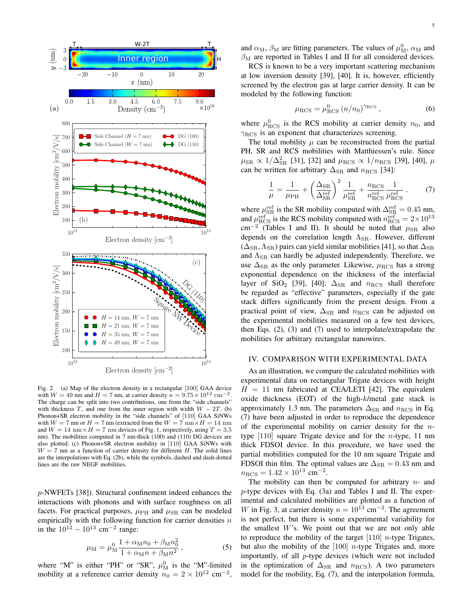

Fig. 2. (a) Map of the electron density in a rectangular [100] GAA device with  $W = 49$  nm and  $H = 7$  nm, at carrier density  $n = 9.75 \times 10^{12}$  cm<sup>-2</sup> . The charge can be split into two contributions, one from the "side channels" with thickness T, and one from the inner region with width  $W - 2T$ . (b) Phonon+SR electron mobility in the "side channels" of [110] GAA SiNWs with  $W = 7$  nm or  $H = 7$  nm (extracted from the  $W = 7$  nm  $\times H = 14$  nm and  $W = 14$  nm  $\times H = 7$  nm devices of Fig. 1, respectively, using  $T = 3.5$ nm). The mobilities computed in 7 nm-thick (100) and (110) DG devices are also plotted. (c) Phonon+SR electron mobility in [110] GAA SiNWs with  $W = 7$  nm as a function of carrier density for different H. The solid lines are the interpolations with Eq. (2b), while the symbols, dashed and dash-dotted lines are the raw NEGF mobilities.

p-NWFETs [38]). Structural confinement indeed enhances the interactions with phonons and with surface roughness on all facets. For practical purposes,  $\mu_{\rm PH}$  and  $\mu_{\rm SR}$  can be modeled empirically with the following function for carrier densities  $n$ in the  $10^{12} - 10^{13}$  cm<sup>-2</sup> range:

$$
\mu_{\rm M} = \mu_{\rm M}^0 \frac{1 + \alpha_{\rm M} n_0 + \beta_{\rm M} n_0^2}{1 + \alpha_{\rm M} n + \beta_{\rm M} n^2},\tag{5}
$$

where "M" is either "PH" or "SR",  $\mu_M^0$  is the "M"-limited mobility at a reference carrier density  $n_0 = 2 \times 10^{12} \text{ cm}^{-2}$ ,

and  $\alpha_M$ ,  $\beta_M$  are fitting parameters. The values of  $\mu_M^0$ ,  $\alpha_M$  and  $\beta_{\rm M}$  are reported in Tables I and II for all considered devices.

RCS is known to be a very important scattering mechanism at low inversion density [39], [40]. It is, however, efficiently screened by the electron gas at large carrier density. It can be modeled by the following function:

$$
\mu_{\rm RCS} = \mu_{\rm RCS}^0 (n/n_0)^{\gamma_{\rm RCS}},\tag{6}
$$

where  $\mu_{\text{RCS}}^0$  is the RCS mobility at carrier density  $n_0$ , and  $\gamma_{\text{RCS}}$  is an exponent that characterizes screening.

The total mobility  $\mu$  can be reconstructed from the partial PH, SR and RCS mobilities with Matthiessen's rule. Since  $\mu_{\rm SR} \propto 1/\Delta_{\rm SR}^2$  [31], [32] and  $\mu_{\rm RCS} \propto 1/n_{\rm RCS}$  [39], [40],  $\mu$ can be written for arbitrary  $\Delta_{\text{SR}}$  and  $n_{\text{RCS}}$  [34]:

$$
\frac{1}{\mu} = \frac{1}{\mu_{\rm PH}} + \left(\frac{\Delta_{\rm SR}}{\Delta_{\rm SR}^{\rm ref}}\right)^2 \frac{1}{\mu_{\rm SR}^{\rm ref}} + \frac{n_{\rm RCS}}{n_{\rm RCS}^{\rm ref}} \frac{1}{\mu_{\rm RCS}^{\rm ref}}\,,\tag{7}
$$

where  $\mu_{\rm SR}^{\rm ref}$  is the SR mobility computed with  $\Delta_{\rm SR}^{\rm ref} = 0.45$  nm, and  $\mu_{\text{RCS}}^{\text{ref}}$  is the RCS mobility computed with  $n_{\text{RCS}}^{\text{ref}} = 2 \times 10^{13}$  $\text{cm}^{-2}$  (Tables I and II). It should be noted that  $\mu_{\text{SR}}$  also depends on the correlation length  $\Lambda_{\rm SR}$ . However, different  $(\Delta_{\rm SR}, \Lambda_{\rm SR})$  pairs can yield similar mobilities [41], so that  $\Delta_{\rm SR}$ and  $\Lambda_{\rm SR}$  can hardly be adjusted independently. Therefore, we use  $\Delta_{\rm SR}$  as the only parameter. Likewise,  $\mu_{\rm RCS}$  has a strong exponential dependence on the thickness of the interfacial layer of SiO<sub>2</sub> [39], [40];  $\Delta_{\rm SR}$  and  $n_{\rm RCS}$  shall therefore be regarded as "effective" parameters, especially if the gate stack differs significantly from the present design. From a practical point of view,  $\Delta_{\text{SR}}$  and  $n_{\text{RCS}}$  can be adjusted on the experimental mobilities measured on a few test devices, then Eqs. (2), (3) and (7) used to interpolate/extrapolate the mobilities for arbitrary rectangular nanowires.

#### IV. COMPARISON WITH EXPERIMENTAL DATA

As an illustration, we compare the calculated mobilities with experimental data on rectangular Trigate devices with height  $H = 11$  nm fabricated at CEA/LETI [42]. The equivalent oxide thickness (EOT) of the high-k/metal gate stack is approximately 1.3 nm. The parameters  $\Delta_{\rm SR}$  and  $n_{\rm RCS}$  in Eq. (7) have been adjusted in order to reproduce the dependence of the experimental mobility on carrier density for the  $n$ type  $[110]$  square Trigate device and for the *n*-type, 11 nm thick FDSOI device. In this procedure, we have used the partial mobilities computed for the 10 nm square Trigate and FDSOI thin film. The optimal values are  $\Delta_{\rm SR} = 0.43$  nm and  $n_{\text{RCS}} = 1.42 \times 10^{13} \text{ cm}^{-2}.$ 

The mobility can then be computed for arbitrary  $n-$  and p-type devices with Eq. (3a) and Tables I and II. The experimental and calculated mobilities are plotted as a function of W in Fig. 3, at carrier density  $n = 10^{13}$  cm<sup>-2</sup>. The agreement is not perfect, but there is some experimental variability for the smallest  $W$ 's. We point out that we are not only able to reproduce the mobility of the target  $[110]$  *n*-type Trigates, but also the mobility of the  $[100]$  *n*-type Trigates and, more importantly, of all p-type devices (which were not included in the optimization of  $\Delta_{\text{SR}}$  and  $n_{\text{RCS}}$ ). A two parameters model for the mobility, Eq. (7), and the interpolation formula,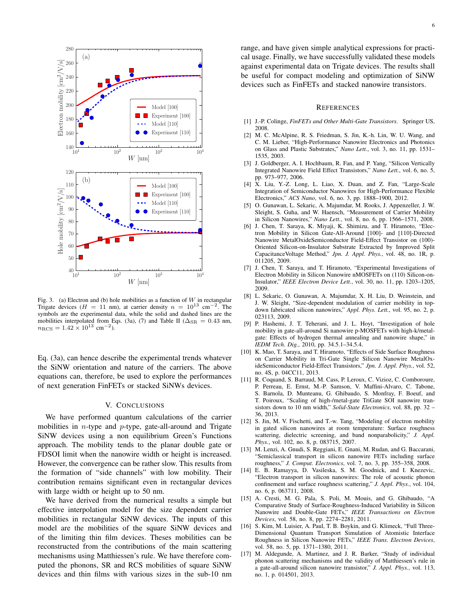

Fig. 3. (a) Electron and (b) hole mobilities as a function of  $W$  in rectangular Trigate devices ( $H = 11$  nm), at carrier density  $n = 10^{13}$  cm<sup>-2</sup>. The symbols are the experimental data, while the solid and dashed lines are the mobilities interpolated from Eqs. (3a), (7) and Table II ( $\Delta_{\rm SR} = 0.43$  nm,  $n_{\text{RCS}} = 1.42 \times 10^{13} \text{ cm}^{-2}$ ).

Eq. (3a), can hence describe the experimental trends whatever the SiNW orientation and nature of the carriers. The above equations can, therefore, be used to explore the performances of next generation FinFETs or stacked SiNWs devices.

#### V. CONCLUSIONS

We have performed quantum calculations of the carrier mobilities in *n*-type and *p*-type, gate-all-around and Trigate SiNW devices using a non equilibrium Green's Functions approach. The mobility tends to the planar double gate or FDSOI limit when the nanowire width or height is increased. However, the convergence can be rather slow. This results from the formation of "side channels" with low mobility. Their contribution remains significant even in rectangular devices with large width or height up to 50 nm.

We have derived from the numerical results a simple but effective interpolation model for the size dependent carrier mobilities in rectangular SiNW devices. The inputs of this model are the mobilities of the square SiNW devices and of the limiting thin film devices. Theses mobilities can be reconstructed from the contributions of the main scattering mechanisms using Matthiessen's rule. We have therefore computed the phonons, SR and RCS mobilities of square SiNW devices and thin films with various sizes in the sub-10 nm range, and have given simple analytical expressions for practical usage. Finally, we have successfully validated these models against experimental data on Trigate devices. The results shall be useful for compact modeling and optimization of SiNW devices such as FinFETs and stacked nanowire transistors.

#### **REFERENCES**

- [1] J.-P. Colinge, *FinFETs and Other Multi-Gate Transistors*. Springer US, 2008.
- [2] M. C. McAlpine, R. S. Friedman, S. Jin, K.-h. Lin, W. U. Wang, and C. M. Lieber, "High-Performance Nanowire Electronics and Photonics on Glass and Plastic Substrates," *Nano Lett.*, vol. 3, no. 11, pp. 1531– 1535, 2003.
- [3] J. Goldberger, A. I. Hochbaum, R. Fan, and P. Yang, "Silicon Vertically Integrated Nanowire Field Effect Transistors," *Nano Lett.*, vol. 6, no. 5, pp. 973–977, 2006.
- [4] X. Liu, Y.-Z. Long, L. Liao, X. Duan, and Z. Fan, "Large-Scale Integration of Semiconductor Nanowires for High-Performance Flexible Electronics," *ACS Nano*, vol. 6, no. 3, pp. 1888–1900, 2012.
- [5] O. Gunawan, L. Sekaric, A. Majumdar, M. Rooks, J. Appenzeller, J. W. Sleight, S. Guha, and W. Haensch, "Measurement of Carrier Mobility in Silicon Nanowires," *Nano Lett.*, vol. 8, no. 6, pp. 1566–1571, 2008.
- [6] J. Chen, T. Saraya, K. Miyaji, K. Shimizu, and T. Hiramoto, "Electron Mobility in Silicon Gate-All-Around [100]- and [110]-Directed Nanowire MetalOxideSemiconductor Field-Effect Transistor on (100)- Oriented Silicon-on-Insulator Substrate Extracted by Improved Split CapacitanceVoltage Method," *Jpn. J. Appl. Phys.*, vol. 48, no. 1R, p. 011205, 2009.
- [7] J. Chen, T. Saraya, and T. Hiramoto, "Experimental Investigations of Electron Mobility in Silicon Nanowire nMOSFETs on (110) Silicon-on-Insulator," *IEEE Electron Device Lett.*, vol. 30, no. 11, pp. 1203–1205, 2009.
- [8] L. Sekaric, O. Gunawan, A. Majumdar, X. H. Liu, D. Weinstein, and J. W. Sleight, "Size-dependent modulation of carrier mobility in topdown fabricated silicon nanowires," *Appl. Phys. Lett.*, vol. 95, no. 2, p. 023113, 2009.
- [9] P. Hashemi, J. T. Teherani, and J. L. Hoyt, "Investigation of hole mobility in gate-all-around Si nanowire p-MOSFETs with high-k/metalgate: Effects of hydrogen thermal annealing and nanowire shape," in *IEDM Tech. Dig.*, 2010, pp. 34.5.1–34.5.4.
- [10] K. Mao, T. Saraya, and T. Hiramoto, "Effects of Side Surface Roughness" on Carrier Mobility in Tri-Gate Single Silicon Nanowire MetalOxideSemiconductor Field-Effect Transistors," *Jpn. J. Appl. Phys.*, vol. 52, no. 4S, p. 04CC11, 2013.
- [11] R. Coquand, S. Barraud, M. Cass, P. Leroux, C. Vizioz, C. Comboroure, P. Perreau, E. Ernst, M.-P. Samson, V. Maffini-Alvaro, C. Tabone, S. Barnola, D. Munteanu, G. Ghibaudo, S. Monfray, F. Boeuf, and T. Poiroux, "Scaling of high-/metal-gate TriGate SOI nanowire transistors down to 10 nm width," *Solid-State Electronics*, vol. 88, pp. 32 – 36, 2013.
- [12] S. Jin, M. V. Fischetti, and T.-w. Tang, "Modeling of electron mobility in gated silicon nanowires at room temperature: Surface roughness scattering, dielectric screening, and band nonparabolicity," *J. Appl. Phys.*, vol. 102, no. 8, p. 083715, 2007.
- [13] M. Lenzi, A. Gnudi, S. Reggiani, E. Gnani, M. Rudan, and G. Baccarani, "Semiclassical transport in silicon nanowire FETs including surface roughness," *J. Comput. Electronics*, vol. 7, no. 3, pp. 355–358, 2008.
- [14] E. B. Ramayya, D. Vasileska, S. M. Goodnick, and I. Knezevic, "Electron transport in silicon nanowires: The role of acoustic phonon confinement and surface roughness scattering," *J. Appl. Phys.*, vol. 104, no. 6, p. 063711, 2008.
- [15] A. Cresti, M. G. Pala, S. Poli, M. Mouis, and G. Ghibaudo, "A Comparative Study of Surface-Roughness-Induced Variability in Silicon Nanowire and Double-Gate FETs," *IEEE Transactions on Electron Devices*, vol. 58, no. 8, pp. 2274–2281, 2011.
- [16] S. Kim, M. Luisier, A. Paul, T. B. Boykin, and G. Klimeck, "Full Three-Dimensional Quantum Transport Simulation of Atomistic Interface Roughness in Silicon Nanowire FETs," *IEEE Trans. Electron Devices*, vol. 58, no. 5, pp. 1371–1380, 2011.
- [17] M. Aldegunde, A. Martinez, and J. R. Barker, "Study of individual phonon scattering mechanisms and the validity of Matthiessen's rule in a gate-all-around silicon nanowire transistor," *J. Appl. Phys.*, vol. 113, no. 1, p. 014501, 2013.